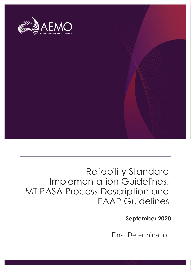

## Reliability Standard Implementation Guidelines, MT PASA Process Description and EAAP Guidelines

**September 2020**

Final Determination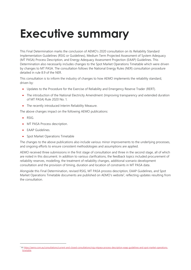## <span id="page-1-0"></span>**Executive summary**

This Final Determination marks the conclusion of AEMO's 2020 consultation on its Reliability Standard Implementation Guidelines (RSIG or Guidelines), Medium Term Projected Assessment of System Adequacy (MT PASA) Process Description, and Energy Adequacy Assessment Projection (EAAP) Guidelines. This Determination also necessarily includes changes to the Spot Market Operations Timetable which were driven by changes to MT PASA. The consultation follows the National Energy Rules (NER) consultation procedure detailed in rule 8.9 of the NER.

This consultation is to inform the industry of changes to how AEMO implements the reliability standard, driven by:

- Updates to the Procedure for the Exercise of Reliability and Emergency Reserve Trader (RERT).
- The introduction of the National Electricity Amendment (Improving transparency and extended duration of MT PASA) Rule 2020 No. 1.
- The recently introduced Interim Reliability Measure.

The above changes impact on the following AEMO publications:

- RSIG.
- MT PASA Process description.
- EAAP Guidelines.
- Spot Market Operations Timetable

The changes to the above publications also include various minor improvements to the underlying processes, and ongoing efforts to ensure consistent methodologies and assumptions are applied.

AEMO received three submissions in the first stage of consultation and three in the second stage, all of which are noted in this document. In addition to various clarifications, the feedback topics included procurement of reliability reserves, modelling, the treatment of reliability changes, additional scenario development consultation and the provision of timing, duration and location of constraints in MT PASA data.

<span id="page-1-1"></span>Alongside this Final Determination, revised RSIG, MT PASA process description, EAAP Guidelines, and Spot Market Operations Timetable documents are published on AEMO's website<sup>1</sup>, reflecting updates resulting from the consultation.

<sup>1</sup> A[t https://aemo.com.au/consultations/current-and-closed-consultations/rsig-mtpasa-process-description-eaap-guidelines-and-spot-market-operations](https://aemo.com.au/consultations/current-and-closed-consultations/rsig-mtpasa-process-description-eaap-guidelines-and-spot-market-operations-timetable)[timetable.](https://aemo.com.au/consultations/current-and-closed-consultations/rsig-mtpasa-process-description-eaap-guidelines-and-spot-market-operations-timetable)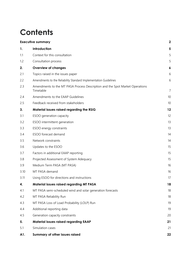## **Contents**

|      | <b>Executive summary</b>                                                                  |                |  |
|------|-------------------------------------------------------------------------------------------|----------------|--|
| 1.   | Introduction                                                                              | 5              |  |
| 1.1  | Context for this consultation                                                             | 5              |  |
| 1.2  | Consultation process                                                                      | 5              |  |
| 2.   | <b>Overview of changes</b>                                                                | 6              |  |
| 2.1  | Topics raised in the issues paper                                                         | 6              |  |
| 2.2  | Amendments to the Reliability Standard Implementation Guidelines                          | 6              |  |
| 2.3  | Amendments to the MT PASA Process Description and the Spot Market Operations<br>Timetable | $\overline{7}$ |  |
| 2.4  | Amendments to the EAAP Guidelines                                                         | 10             |  |
| 2.5  | Feedback received from stakeholders                                                       | 10             |  |
| 3.   | Material issues raised regarding the RSIG                                                 | 12             |  |
| 3.1  | ESOO generation capacity                                                                  | 12             |  |
| 3.2  | ESOO intermittent generation                                                              | 13             |  |
| 3.3  | ESOO energy constraints                                                                   | 13             |  |
| 3.4  | ESOO forecast demand                                                                      | 14             |  |
| 3.5  | Network constraints                                                                       | 14             |  |
| 3.6  | Updates to the ESOO                                                                       | 15             |  |
| 3.7  | Factors in additional EAAP reporting                                                      | 15             |  |
| 3.8  | Projected Assessment of System Adequacy                                                   | 15             |  |
| 3.9  | Medium Term PASA (MT PASA)                                                                | 16             |  |
| 3.10 | MT PASA demand                                                                            | 16             |  |
| 3.11 | Using ESOO for directions and instructions                                                | 17             |  |
| 4.   | <b>Material issues raised regarding MT PASA</b>                                           | 18             |  |
| 4.1  | MT PASA semi-scheduled wind and solar generation forecasts                                | 18             |  |
| 4.2  | MT PASA Reliability Run                                                                   | 18             |  |
| 4.3  | MT PASA Loss of Load Probability (LOLP) Run                                               | 19             |  |
| 4.4  | Additional reporting data                                                                 | 19             |  |
| 4.5  | Generation capacity constraints                                                           | 20             |  |
| 5.   | <b>Material issues raised regarding EAAP</b>                                              | 21             |  |
| 5.1  | Simulation cases                                                                          | 21             |  |
| A1.  | Summary of other issues raised                                                            | 22             |  |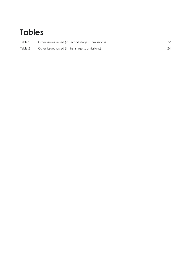## **Tables**

| Table 1 | Other issues raised (in second stage submissions) |  |
|---------|---------------------------------------------------|--|
| Table 2 | Other issues raised (in first stage submissions)  |  |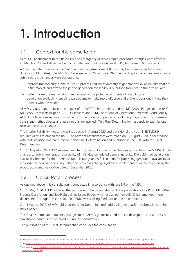# <span id="page-4-0"></span>**1. Introduction**

## <span id="page-4-1"></span>1.1 Context for this consultation

AEMO's 'Enhancement to the Reliability and Emergency Reserve Trader' procedure changes were effective 26 March 2020<sup>2</sup> and allow the Electricity Statement of Opportunities (ESOO) to inform RERT contracts.

A final rule determination of the National Electricity Amendment (Improving transparency and extended duration of MT PASA) Rule 2020 No. 1 was made on 20 February 2020<sup>3</sup>. According to the original rule change submission, the changes were designed to:

- Improve transparency of the MT PASA process, reduce asymmetry of generation availability information in the market, and extend the period generation availability is published from two to three years, and
- Better inform the market at a granular level on projected assessments of reliability and generation availability, enabling participants to make more effective and efficient decisions in how they interact with the market.

AEMO's Issues Paper detailed the impact of the RERT enhancements and the MT PASA changes on the RSIG, MT PASA Process description, EAAP Guidelines and AEMO Spot Market Operations Timetable. Additionally, AEMO made various minor improvements to the underlying processes, including ongoing efforts to ensure consistent methodologies and assumptions are applied. This Final Determination responds to submissions received on these changes.

The Interim Reliability Measure was introduced in August 2020 and transitional provision NER 11.128.9 requires AEMO to amend the RSIG. The relevant amendments were made on 31 August 2020 in accordance with that provision and are outlined in this Final Determination and published in the RSIG with this Final Determination.

On 20 August 2020, AEMO released an interim solution for one of the changes arising from the MT PASA rule change, to publish generation availability of individual scheduled generating units. The published generation availability horizon for this interim solution is two years. A full solution for publishing generation availability of individual scheduled generating units, and remaining changes yet to be implemented, will be released by the proposed alternative go-live date of December 2020.

## <span id="page-4-2"></span>1.2 Consultation process

As outlined above, this consultation is conducted in accordance with rule 8.9 of the NER.

On 25 May 2020, AEMO initiated the first stage of the consultation with the publication of its RSIG, MT PASA Process Description, and EAAP Guidelines Issues Paper, which explained how AEMO has amended these documents. Through this consultation, AEMO was seeking feedback on the amendments.

On 14 August 2020, AEMO published the Draft Determination<sup>4</sup>, addressing feedback on submissions to the issues paper.

This Final Determination outlines changes to the AEMO guidelines and process description, and addresses stakeholder submissions received during the consultation.

The publication of this Final Determination concludes the consultation.

<sup>2</sup> Se[e https://www.aemo.com.au/consultations/current-and-closed-consultations/enhancements-to-rert-rule-change-update-to-procedures.](https://www.aemo.com.au/consultations/current-and-closed-consultations/enhancements-to-rert-rule-change-update-to-procedures) 

<sup>3</sup> Se[e https://www.aemo.com.au/consultations/current-and-closed-consultations/enhancements-to-rert-rule-change-update-to-procedures.](https://www.aemo.com.au/consultations/current-and-closed-consultations/enhancements-to-rert-rule-change-update-to-procedures)

<sup>4</sup> Available a[t https://aemo.com.au/en/consultations/current-and-closed-consultations/rsig-mtpasa-process-description-eaap-guidelines-and-spot-market](https://aemo.com.au/en/consultations/current-and-closed-consultations/rsig-mtpasa-process-description-eaap-guidelines-and-spot-market-operations-timetable)[operations-timetable.](https://aemo.com.au/en/consultations/current-and-closed-consultations/rsig-mtpasa-process-description-eaap-guidelines-and-spot-market-operations-timetable)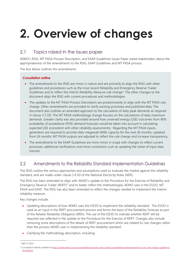# <span id="page-5-0"></span>**2. Overview of changes**

## <span id="page-5-1"></span>2.1 Topics raised in the issues paper

AEMO's RSIG, MT PASA Process Description, and EAAP Guidelines Issues Paper asked stakeholders about the appropriateness of the amendments to the RSIG, EAAP Guidelines and MT PASA process.

The box below outlines the amendments.

#### **Consultation outline**

- The amendments to the RSIG are minor in nature and are primarily to align the RSIG with other guidelines and procedures such as the most recent Reliability and Emergency Reserve Trader Guidelines and to reflect the Interim Reliability Measure rule change<sup>5</sup>. The other changes to the document align the RSIG with current procedures and methodologies.
- The updates to the MT PASA Process Description are predominantly to align with the MT PASA rule change. Other amendments are provided to clarify existing processes and published data. The document also outlines an amended approach to the calculation of daily peak demands as required in clause 3.7.2(f). The MT PASA methodology change focuses on the calculations of daily maximum demands. Greater clarity was also provided around how unserved energy (USE) outcomes from 90% probability of exceedance (POE) demand forecasts would be taken into account in calculating expected USE (consistent with other reliability assessments). Regarding the MT PASA inputs, generators are required to provide daily megawatt (MW) capacity for the next 36 months, updated from 24 months. MT PASA outputs are adjusted to reflect the rule change and increase transparency.
- The amendments to the EAAP Guidelines are more minor in scope with changes to reflect current processes, additional clarifications and minor corrections such as updating the name of input data sources.

## <span id="page-5-2"></span>2.2 Amendments to the Reliability Standard Implementation Guidelines

The RSIG outline the various approaches and assumptions used to evaluate the market against the reliability standard, and are made under clause 3.9.3D of the National Electricity Rules (NER).

The RSIG has been amended to align with AEMO's update to the Procedure for the Exercise of Reliability and Emergency Reserve Trader (RERT)<sup>6</sup>, and to better reflect the methodologies AEMO uses in the ESOO, MT PASA and EAAP. The RSIG has also been amended to reflect the changes needed to implement the interim reliability measure.

Key changes include:

- Updating descriptions of how AEMO uses the ESOO to implement the reliability standard. The ESOO is used as an input in the RERT procurement process and forms the basis of the Reliability Forecast as part of the Retailer Reliability Obligation (RRO). The use of the ESOO to indicate whether RERT will be required was reflected in the update to the Procedure for the Exercise of RERT. Changes also include removing some descriptions of the details of RERT procurement which are related to rule changes rather than the process AEMO uses in implementing the reliability standard.
- Clarifying the methodology description, including:

<sup>5</sup> NER 11.128.9

<sup>6</sup> Consultation details available at [https://www.aemo.com.au/consultations/current-and-closed-consultations/enhancements-to-rert-rule-change-update-to](https://www.aemo.com.au/consultations/current-and-closed-consultations/enhancements-to-rert-rule-change-update-to-procedures)[procedures.](https://www.aemo.com.au/consultations/current-and-closed-consultations/enhancements-to-rert-rule-change-update-to-procedures)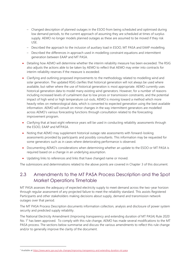- Changed description of planned outages in the ESOO from being scheduled and optimised during low demand periods, to the current approach of assuming they are scheduled at times of surplus supply. AEMO no longer models planned outages as these are assumed to be moved if they risk USE.
- Described the approach to the inclusion of auxiliary load in ESOO, MT PASA and EAAP modelling.
- Described the differences in approach used in modelling constraint equations and intermittent generation between EAAP and MT PASA.
- Detailing how AEMO will determine whether the interim reliability measure has been exceeded. The RSIG also adjusts the actions able to be taken by AEMO to reflect that AEMO may enter into contracts for interim reliability reserves if the measure is exceeded.
- Clarifying and outlining proposed improvements to the methodology related to modelling wind and solar generation. The updated RSIG clarifies that historical generation will not always be used where available, but rather where the use of historical generation is most appropriate. AEMO currently uses historical generation data to model many existing wind generators. However, for a number of reasons including increased levels of curtailment due to low prices or transmission constraints, and the potential impact of high wind or high temperature cut-outs, AEMO is moving toward a method which more heavily relies on meteorological data, which is converted to expected generation using the best available information. AEMO will consult on minor changes in the way intermittent generators are modelled across AEMO's various forecasting functions through consultation related to the forecasting improvement program.
- Clarifying that at least eight reference years will be used in conducting reliability assessments through the ESOO, EAAP and MTPASA.
- Noting that AEMO may supplement historical outage rate assessments with forward-looking assessments provided by participants and possibly consultants. This information may be requested for some generators such as in cases where deteriorating performance is observed.
- Documenting AEMO's considerations when determining whether an update to the ESOO or MT PASA is required based on a change in an underlying assumption.
- Updating links to references and links that have changed name or moved.

<span id="page-6-0"></span>The submissions and determinations related to the above points are covered in Chapter [3](#page-11-0) of this document.

## 2.3 Amendments to the MT PASA Process Description and the Spot Market Operations Timetable

MT PASA assesses the adequacy of expected electricity supply to meet demand across the two-year horizon through regular assessment of any projected failure to meet the reliability standard. This assists Registered Participants and other stakeholders making decisions about supply, demand and transmission network outages over that period.

The MT PASA Process Description documents information collection, analysis and disclosure of power system security and predicted supply reliability.

The National Electricity Amendment (Improving transparency and extending duration of MT PASA) Rule 2020 No. 1<sup>7</sup> has been approved. To comply with this rule change, AEMO has made several modifications to the MT PASA process. The sections below summarise and discuss the various amendments to reflect this rule change and/or to generally improve the clarity of the document.

<sup>7</sup> Available a[t https://www.aemc.gov.au/rule-changes/improving-transparency-and-extending-duration-mt-pasa.](https://www.aemc.gov.au/rule-changes/improving-transparency-and-extending-duration-mt-pasa)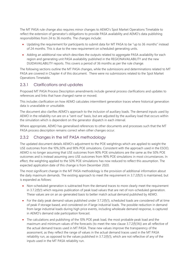The MT PASA rule change also requires minor changes to AEMO's Spot Market Operations Timetable to reflect the extension of generator's obligations to provide PASA availability and AEMO's data publishing responsibilities from 24 to 36 months. The changes include:

- Updating the requirement for participants to submit data for MT PASA to be "up to 36 months" instead of 24 months. This is due to the new requirement on scheduled generating units.
- Adding an additional row which describes the outputs related to aggregate PASA availability for each region and generating unit PASA availability published in the REGIONAVAILABILITY and the new DUIDAVAILABILITY reports. This covers a period of 36 months as per the rule change.

The following sections outline the MT PASA changes, while the submissions and determinations related to MT PASA are covered in Chapter 4 of this document. There were no submissions related to the Spot Market Operations Timetable.

### 2.3.1 Clarifications and updates

Proposed MT PASA Process Description amendments include general process clarifications and updates to references and links that have changed name or moved.

This includes clarification on how AEMO calculates intermittent generation traces where historical generation data is unavailable or unsuitable.

The document also clarifies AEMO's approach to the inclusion of auxiliary loads. The demand inputs used by AEMO in the reliability run are on a "sent-out" basis, but are adjusted by the auxiliary load that occurs within the simulation which is dependent on the generator dispatch in each interval.

Where appropriate, AEMO has generalised references to other documents and processes such that the MT PASA process description remains correct when other changes occur.

### 2.3.2 Changes in the MT PASA methodology

The updated document details AEMO's adjustment to the POE weightings which are applied to weight the USE outcomes from the 10%,50% and 90% POE simulations. Consistent with the approach used in the ESOO, AEMO is no longer assuming that USE outcomes from 90% POE simulations are the same as the 50% POE outcomes and is instead assuming zero USE outcomes from 90% POE simulations in most circumstances. In effect, the weighting applied to the 50% POE simulations has now reduced to reflect this assumption. The expected application date of this change is from December 2020.

The most significant change in the MT PASA methodology is the provision of additional information about the daily maximum demands. The existing approach to meet the requirement in 3.7.2(f)(1) is maintained, but is expanded as follows:

- Non-scheduled generation is subtracted from the demand traces to more clearly meet the requirement in 3.7.2(f)(1) which requires publication of peak load values that are net of non-scheduled generation. These values are on an as-generated basis to better match actual demand published by AEMO.
- For the daily peak demand values published under 3.7.2(f)(1), scheduled loads are considered off at time of peak if storage based, and considered on if large industrial loads. The possible reduction in demand from large industrial loads during high price events, including wholesale demand response, is captured in AEMO's demand side participation forecast.
- The calculations and publishing of the 10% POE peak load, the most probable peak load and the maximum and minimum values of the forecasts (to meet the new clause 3.7.2(f)(1A)) are all reflective of the actual demand traces used in MT PASA. These new values improve the transparency of the assessment, as they reflect the range of values in the actual demand traces used in the MT PASA reliability run, as opposed to the values published in 3.7.2(f)(1), which are not reflective of any of the inputs used in the MT PASA reliability run.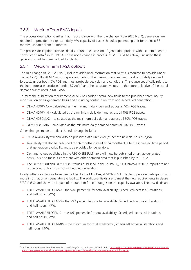### 2.3.3 Medium Term PASA Inputs

The process description clarifies that in accordance with the rule change (Rule 2020 No. 1), generators are required to provide the expected daily MW capacity of each scheduled generating unit for the next 36 months, updated from 24 months.

The process description provides details around the inclusion of generation projects with a commitment to construct or install<sup>8</sup> in MT PASA. This is not a change in process, as MT PASA has always included these generators, but has been added for clarity.

### 2.3.4 Medium Term PASA outputs

The rule change (Rule 2020 No. 1) includes additional information that AEMO is required to provide under clause 3.7.2(f)(1A). AEMO must prepare and publish the maximum and minimum values of daily demand forecasts under both 10% POE and most probable peak demand conditions. This clause specifically refers to the input forecasts produced under 3.7.2(c)(1) and the calculated values are therefore reflective of the actual demand traces used in MT PASA.

To meet the publication requirement, AEMO has added several new fields to the published three-hourly report (all on an as-generated basis and excluding contribution from non-scheduled generation):

- DEMAND10MAX calculated as the maximum daily demand across all 10% POE traces.
- DEMAND10MIN calculated as the minimum daily demand across all 10% POE traces.
- DEMAND50MAX calculated as the maximum daily demand across all 50% POE traces.
- DEMAND50MIN calculated as the minimum daily demand across all 50% POE traces.

Other changes made to reflect the rule change include:

- PASA availability will now also be published at a unit level (as per the new clause  $3.7.2(f)(5)$ ).
- Availability will also be published for 36 months instead of 24 months due to the increased time period that generation availability must be provided by generators.
- Demand values published in the REGIONRESULT table will now be published on an 'as-generated' basis. This is to make it consistent with other demand data that is published by MT PASA.
- The DEMAND10 and DEMAND50 values published in the MTPASA\_REGIONAVAILABILITY report are net of the contribution from non-scheduled generation.

Finally, other calculations have been added to the MTPASA\_REGIONRESULT table to provide participants with more information on generator availability. The additional fields are to meet the new requirements in clause 3.7.2(f) (5C) and show the impact of the random forced outages on the capacity available. The new fields are:

- TOTALAVAILABILEGEN90 the 90% percentile for total availability (Scheduled) across all iterations and half hours (MW)
- TOTALAVAILABILEGEN50 the 50% percentile for total availability (Scheduled) across all iterations and half hours (MW).
- TOTALAVAILABILEGEN10 the 10% percentile for total availability (Scheduled) across all iterations and half hours (MW).
- TOTALAVAILABILEGENMIN the minimum for total availability (Scheduled) across all iterations and half hours (MW).

<sup>&</sup>lt;sup>8</sup> Information on the criteria used by AEMO to classify projects as committed can be found a[t https://aemo.com.au/en/energy-systems/electricity/national](https://aemo.com.au/en/energy-systems/electricity/national-electricity-market-nem/nem-forecasting-and-planning/forecasting-and-planning-data/generation-information)[electricity-market-nem/nem-forecasting-and-planning/forecasting-and-planning-data/generation-information.](https://aemo.com.au/en/energy-systems/electricity/national-electricity-market-nem/nem-forecasting-and-planning/forecasting-and-planning-data/generation-information)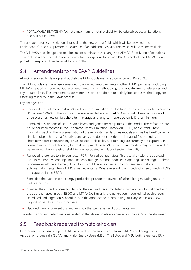• TOTALAVAILABILITYGENMAX – the maximum for total availability (Scheduled) across all iterations and half hours (MW).

The updated process description details all of the new output fields which will be provided once implemented<sup>9</sup>, and also provides an example of an additional visualisation which will be made available.

The MT PASA rule change also requires minor administrative changes to AEMO's Spot Market Operations Timetable to reflect the extension of generators' obligations to provide PASA availability and AEMO's data publishing responsibilities from 24 to 36 months.

## <span id="page-9-0"></span>2.4 Amendments to the EAAP Guidelines

AEMO is required to develop and publish the EAAP Guidelines in accordance with Rule 3.7C.

The EAAP Guidelines have been amended to align with improvements in other AEMO processes, including MT PASA reliability modelling. Other amendments clarify methodology, and update links to references and any updated links. The amendments are minor in scope and do not materially impact the methodology for assessing reliability in the EAAP process.

Key changes are:

- Removed the statement that AEMO will only run simulations on the long-term average rainfall scenario if USE is over 0.002% in the short-term average rainfall scenario. AEMO will conduct simulations on all three scenarios (low rainfall, short-term average and long-term average rainfall), at a minimum.
- Removed descriptions of self-dispatch levels and generator ramp rates in the model. These features are no longer implemented in the Generator Energy Limitation Framework (GELF) and currently have minimal impact on the implementation of the reliability standard. As models such as the EAAP currently simulate dispatch on a half-hourly granularity and do not consider the impact of factors such as short-term forecast uncertainty, issues related to flexibility and ramping are currently not captured. In consultation with stakeholders; future developments in AEMO's forecasting models may be explored to better reflect the increasing reliability risks associated with lack of system flexibility.
- Removed references to interconnector FORs (Forced outage rates). This is to align with the approach used in MT PASA where unplanned network outages are not modelled. Capturing such outages in these processes would be extremely difficult as it would require changes to constraint sets that are automatically created from AEMO's market systems. Where relevant, the impacts of interconnector FORs are captured in the ESOO.
- Simplified the data on total energy production provided to owners of scheduled generating units or hydro schemes.
- Clarified the current process for deriving the demand traces modelled which are now fully aligned with the approach used in both ESOO and MT PASA. Similarly, the generation modelled (scheduled, semischeduled and large non-scheduled) and the approach to incorporating auxiliary load is also now aligned across these three processes.
- Updated naming conventions and links to other processes and documentation.

<span id="page-9-1"></span>The submissions and determinations related to the above points are covered in Chapter 5 of this document.

## 2.5 Feedback received from stakeholders

In response to the issues paper, AEMO received written submissions from ERM Power, Energy Users Association of Australia (EUAA) and Major Energy Users (MEU). The EUAA and MEU both referenced ERM

<sup>9</sup> Expected implementation date of December 2020.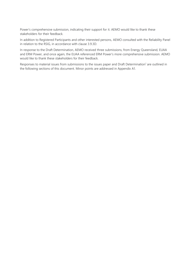Power's comprehensive submission, indicating their support for it. AEMO would like to thank these stakeholders for their feedback.

In addition to Registered Participants and other interested persons, AEMO consulted with the Reliability Panel in relation to the RSIG, in accordance with clause 3.9.3D.

In response to the Draft Determination, AEMO received three submissions, from Energy Queensland, EUAA and ERM Power, and once again, the EUAA referenced ERM Power's more comprehensive submission. AEMO would like to thank these stakeholders for their feedback.

Respo[n](#page-1-1)ses to material issues from submissions to the issues paper and Draft Determination<sup>1</sup> are outlined in the following sections of this document. Minor points are addressed in Appendix [A1.](#page-21-0)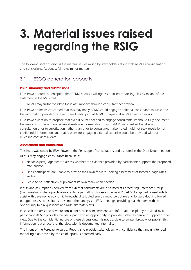## <span id="page-11-0"></span>**3. Material issues raised regarding the RSIG**

The following sections discuss the material issues raised by stakeholders along with AEMO's considerations and conclusions. Appendix A1 notes minor matters.

## <span id="page-11-1"></span>3.1 ESOO generation capacity

#### **Issue summary and submissions**

ERM Power noted its perception that AEMO shows a willingness to insert modelling bias by means of the statement in the RSIG that

AEMO may further validate these assumptions through consultant peer review.

ERM Power remains concerned that this may imply AEMO could engage additional consultants to substitute the information provided by a registered participant at AEMO's request, if AEMO deems it invalid.

ERM Power went on to propose that even if AEMO needed to engage consultants, its should fully document the reasons for this and undertake stakeholder consultation prior. ERM Power clarified that it sought consultation prior to substitution, rather than prior to consulting. It also noted it did not seek revelation of confidential information, and that reasons for engaging external expertise could be provided without revealing confidential data.

#### **Assessment and conclusion**

This issue was raised by ERM Power in the first stage of consultation, and as noted in the Draft Determination: AEMO may engage consultants because it:

- Needs expert judgement to assess whether the evidence provided by participants supports the proposed rate, and/or
- Finds participants are unable to provide their own forward-looking assessment of forced outage rates, and/or
- Seeks to cost effectively supplement its own team when needed.

Inputs and assumptions derived from external consultants are discussed at Forecasting Reference Group (FRG) meetings where practicable and time permitting. For example, in 2020, AEMO engaged consultants to assist with developing economic forecasts, distributed energy resource uptake and forward-looking forced outage rates. All consultants presented their analysis at FRG meetings, providing stakeholders with an opportunity to ask questions and raise alternate views.

In specific circumstances where consultant advice is inconsistent with information explicitly provided by a participant, AEMO provides the participant with an opportunity to provide further evidence in support of their view. Due to the confidential nature of these discussions, it is not possible to consult broadly, or publish this information, but a record of the discussion is documented internally.

The intent of the Forecast Accuracy Report is to provide stakeholders with confidence that any unintended modelling bias, driven by choice of inputs, is detected early.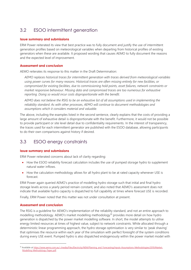## <span id="page-12-0"></span>3.2 ESOO intermittent generation

#### **Issue summary and submissions**

ERM Power reiterated its view that best practice was to fully document and justify the use of intermittent generation profiles based on meteorological variables when departing from historical profiles of existing generators when these are available. It proposed wording that causes AEMO to fully document the reasons and the expected level of improvement.

#### **Assessment and conclusion**

AEMO reiterates its response to this matter in the Draft Determination:

*AEMO replaces historical traces for intermittent generation with traces derived from meteorological variables using power curves for many reasons. Historical traces are often missing entirely for new facilities, or compromised for existing facilities, due to commissioning hold points, asset failures, network constraints or market responsive behaviour. Missing data and compromised traces are too numerous for exhaustive reporting. Doing so would incur costs disproportionate with the benefit.* 

*AEMO does not believe the RSIG to be an exhaustive list of all assumptions used in implementing the reliability standard. As with other processes, AEMO will continue to document methodologies and assumptions which it considers material and valuable.*

The above, including the examples listed in the second sentence, clearly explains that the costs of providing a large amount of exhaustive detail is disproportionate with the benefit. Furthermore, it would not be possible to provide participant or site level detail due to confidentiality requirements. In the interest of transparency, the traces used for each intermittent generator are published with the ESOO database, allowing participants to do their own comparisons against history if desired.

## <span id="page-12-1"></span>3.3 ESOO energy constraints

#### **Issue summary and submissions**

ERM Power reiterated concerns about lack of clarity regarding:

- How the ESOO reliability forecast calculation includes the use of pumped storage hydro to supplement natural water inflows.
- How the calculation methodology allows for all hydro plant to be at rated capacity whenever USE is forecast.

ERM Power again queried AEMO's practice of modelling hydro storage such that initial and final hydro storage levels across a yearly period remain constant, and also noted that AEMO's assessment does not indicate that available hydro capacity is dispatched to full capability at times where forecast USE is recorded.

Finally, ERM Power noted that this matter was not under consultation at present.

#### **Assessment and conclusion**

The RSIG is a guideline for AEMO's implementation of the reliability standard, and not an entire approach to modelling methodology. AEMO's market modelling methodology<sup>10</sup> provides more detail on how hydro generation is dispatched by the power market modelling software. In short, the model attempts to utilise energy limited resources at times of highest value, subject to network constraints. While allocated through a deterministic linear programming approach, the hydro storage optimisation is very similar to 'peak shaving' that optimises the resource within each year of the simulation with perfect foresight of the system conditions during every USE event. Pumped hydro is also dispatched endogenously within the power market model with

<sup>10</sup> Available a[t https://www.aemo.com.au/-/media/Files/Electricity/NEM/Planning\\_and\\_Forecasting/Inputs-Assumptions-Methodologies/2019/Market-](https://www.aemo.com.au/-/media/Files/Electricity/NEM/Planning_and_Forecasting/Inputs-Assumptions-Methodologies/2019/Market-Modelling-Methodology-Paper.pdf)[Modelling-Methodology-Paper.pdf.](https://www.aemo.com.au/-/media/Files/Electricity/NEM/Planning_and_Forecasting/Inputs-Assumptions-Methodologies/2019/Market-Modelling-Methodology-Paper.pdf)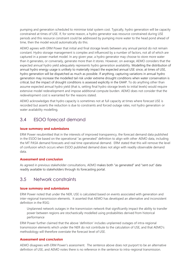pumping and generation scheduled to minimise total system cost. Typically, hydro generation will be capacity constrained at times of USE. If, for some reason, a hydro generator was resource constrained during USE periods and this resource constraint could be addressed by pumping more water to the head pond ahead of time, then the model would automatically do this.

AEMO agrees with ERM Power that initial and final storage levels between any annual period do not remain constant. Hydro storage management is complex and influenced by a number of factors, not all of which are captured in a power market model. In any given year, a hydro generator may choose to store more water than it generates, or conversely, generate more than it stores. However, on average, AEMO considers that the expected annual hydro yield adequately represents hydro generation availability. Modelling the distribution of annual hydro energy usage is unlikely to materially impact the expected annual USE since, at times of USE, hydro generation will be dispatched as much as possible. If anything, capturing variations in annual hydro generation may increase the modelled tail risk under extreme drought conditions when water conservation is critical, but the impact of drought conditions is assessed explicitly in the EAAP. To do anything other than assume expected annual hydro yield (that is, setting final hydro storage levels to initial levels) would require extensive model redevelopment and impose additional compute burden. AEMO does not consider that the redevelopment cost is warranted for the reasons stated.

AEMO acknowledges that hydro capacity is sometimes not at full capacity at times where forecast USE is recorded but asserts the reduction is due to constraints and forced outage rates, not hydro generation or water availability modelling.

## <span id="page-13-0"></span>3.4 ESOO forecast demand

#### **Issue summary and submissions**

ERM Power resubmitted that in the interests of improved transparency, the forecast demand data published in the ESOO be based on the operational "as generated" definition to align with other AEMO data, including the MT PASA demand forecasts and real time operational demand. ERM stated that this will remove the level of confusion which occurs when ESOO published demand does not align with readily observable demand data.

#### **Assessment and conclusion**

As agreed in previous stakeholder consultations, AEMO makes both "as generated" and "sent out" data readily available to stakeholders through its forecasting portal.

### <span id="page-13-1"></span>3.5 Network constraints

#### **Issue summary and submissions**

ERM Power noted that under the NER, USE is calculated based on events associated with generation and inter-regional transmission elements. It asserted that AEMO has developed an alternative and inconsistent definition in the RSIG:

Unplanned network outages in the transmission network that significantly impact the ability to transfer power between regions are stochastically modelled using probabilities derived from historical performance

ERM Power further claimed that the above 'definition' includes unplanned outages of intra-regional transmission elements which under the NER do not contribute to the calculation of USE, and that AEMO's methodology will therefore overstate the forecast level of USE.

#### **Assessment and conclusion**

AEMO disagrees with ERM Power's assessment. The sentence above does not purport to be an alternative definition of USE, and AEMO notes there is no reference in the sentence to intra-regional transmission.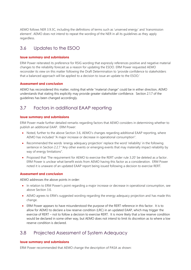AEMO follows NER 3.9.3C, including the definitions of terms such as 'unserved energy' and 'transmission element'. AEMO does not intend to repeat the wording of the NER in all its guidelines as they apply regardless.

## <span id="page-14-0"></span>3.6 Updates to the ESOO

#### **Issue summary and submissions**

ERM Power reiterated its preference for RSIG wording that expressly references positive and negative material changes to the reliability forecast as a reason for updating the ESOO. ERM Power requested AEMO reconsider its view on this matter following the Draft Determination to 'provide confidence to stakeholders that a balanced approach will be applied to a decision to issue an update to the ESOO.'

#### **Assessment and conclusion**

AEMO has reconsidered this matter, noting that while "material change" could be in either direction, AEMO understands that stating this explicitly may provide greater stakeholder confidence. Section 2.1.7 of the guidelines has been changed accordingly.

## <span id="page-14-1"></span>3.7 Factors in additional EAAP reporting

#### **Issue summary and submissions**

ERM Power made further detailed remarks regarding factors that AEMO considers in determining whether to publish an additional EAAP. ERM Power:

- Noted, further to the above Section [3.6,](#page-14-0) AEMO's changes regarding additional EAAP reporting, where AEMO has included "A major increase or decrease in operational consumption".
- Recommended the words 'energy adequacy projection' replace the word 'reliability' in the following sentence in Section 2.2.7 "Any other events or emerging events that may materially impact reliability by way of energy limitations".
- Proposed that 'The requirement for AEMO to exercise the RERT under rule 3.20' be deleted as a factor. ERM Power is unclear what benefit exists from AEMO having this factor as a consideration. ERM Power noted it is unaware of an updated EAAP report being issued following a decision to exercise RERT.

#### **Assessment and conclusion**

AEMO addresses the above points in order:

- In relation to ERM Power's point regarding a major increase or decrease in operational consumption, see above Section [3.6.](#page-14-0)
- AEMO agrees to ERM's suggested wording regarding the energy adequacy projection and has made this change.
- ERM Power appears to have misunderstood the purpose of the RERT reference in this factor. It is to allow for AEMO to declare a low reserve condition (LRC) in an updated EAAP, which may trigger the exercise of RERT – not to follow a decision to exercise RERT. It is more likely that a low reserve condition would be declared in some other way, but AEMO does not intend to limit its discretion as to where a low reserve condition is declared.

## <span id="page-14-2"></span>3.8 Projected Assessment of System Adequacy

#### **Issue summary and submissions**

ERM Power recommended that AEMO change the description of PASA as shown: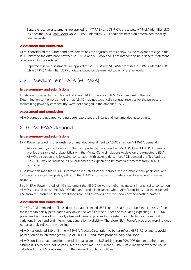Separate reserve assessments are applied for MT PASA and ST PASA processes. MT PASA identifies LRC (as does the ESOO and EAAP) while ST PASA identifies LOR conditions based on determined capacity reserve levels.

#### **Assessment and conclusion**

AEMO considered this further and now determines the adjusted words below, as the relevant passage in the RSIG relates to the difference between MT PASA and ST PASA and is not intended to be a general statement of where an LRC is declared:

Separate reserve assessments are applied for MT PASA and ST PASA processes. MT PASA identifies LRC while ST PASA identifies LOR conditions based on determined capacity reserve levels.

## <span id="page-15-0"></span>3.9 Medium Term PASA (MT PASA)

#### **Issue summary and submissions**

In relation to dispatching contracted reserves, ERM Power noted AEMO's agreement in the Draft Determination to the words 'noting that AEMO may not specifically contract reserves for the purpose of maintaining power system security' were not changed in the amended RSIG.

#### **Assessment and conclusion**

AEMO agrees the updated wording better expresses the intent, and has amended accordingly.

### <span id="page-15-1"></span>3.10 MT PASA demand

#### **Issue summary and submissions**

ERM Power restated its previously recommended amendment to AEMO's text on MT PASA demand;

At a minimum, a combination of the most probable daily peak load (50% POE) and 10% POE demand profiles are sampled probabilistically in the Monte-Carlo simulations to develop the expected USE. At AEMO's discretion and following consultation with stakeholders, more POE demand profiles (such as 90% POE) may be included, if USE outcomes are expected to be materially different from 50% POE outcomes.

ERM Power claimed that AEMO information indicates that the phrases 'most probable daily peak load' and '50% POE' are interchangeable, although the AEMO information is not referenced to enable an informed response.

Finally, ERM Power noted AEMO's statement that ESOO delivery timeframes make it impractical to consult on AEMO's decision to use the 90% POE demand profile in instances where AEMO considers that the expected USE from this profile could be great than zero, and questions how this shows best forecasting practice.

#### **Assessment and conclusion**

The 50% POE demand profile used to calculate expected USE is not the same as a trace that consists of the most probable daily peak loads every day in the year. For the purpose of calculating expecting USE, AEMO preserves the shape of historically observed demand profiles to the extent possible, to capture natural variations in demand and intermittent generation availability. Therefore, ERM Power's proposed wording does not accurately reflect the modelling.

AEMO has updated Table 1 in the MT PASA Process Description to better reflect NER 3.7.2(c), and to avoid perception of an interchangeable use of '50% POE' and 'most probable daily peak load'.

AEMO considers that a decision to explicitly calculate the USE arising from 90% POE demand rather than assume it is zero need not be consulted on each time. The current MT PASA calculation of expected USE is calculated using USE outcomes from the demand profiles as follows: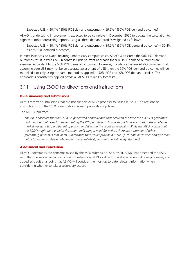Expected USE =  $30.4\%$  \* {10% POE demand outcomes} +  $69.6\%$  \* {50% POE demand outcomes}

AEMO is undertaking improvements expected to be complete in December 2020 to update the calculation to align with other forecasting reports, using all three demand profiles weighted as follows:

Expected USE =  $30.4\%$  \*  $\{10\%$  POE demand outcomes} +  $39.2\%$  \*  $\{50\%$  POE demand outcomes} +  $30.4\%$ \* {90% POE demand outcomes}.

In most instances, to avoid incurring unnecessary compute costs, AEMO will assume the 90% POE demand outcomes result in zero USE (in contrast, under current approach the 90% POE demand outcomes are assumed equivalent to the 50% POE demand outcomes). However, in instances where AEMO considers that assuming zero USE may not be an accurate assessment of USE, then the 90% POE demand outcomes will be modelled explicitly using the same method as applied to 50% POE and 10% POE demand profiles. This approach is consistently applied across all AEMO's reliability forecasts.

## <span id="page-16-0"></span>3.11 Using ESOO for directions and instructions

#### **Issue summary and submissions**

AEMO received submissions that did not support AEMO's proposal to issue Clause 4.8.9 directions or instructions from the ESOO due to its infrequent publication updates.

The MEU submitted:

*The MEU observes that the ESOO is generated annually and that between the time the ESOO is generated and the potential need for implementing the IRM, significant change might have occurred in the wholesale market necessitating a different approach to delivering the required reliability. While the MEU accepts that the ESOO might be the initial document indicating a need for action, there are a number of other forecasting processes that AEMO undertakes that would provide a more up-to-date assessment and/or more detail for action to deliver wholesale market reliability to meet the Reliability Standard.*

#### **Assessment and conclusion**

AEMO understands the concerns raised by the MEU submission. As a result, AEMO has amended the RSIG such that the secondary action of a 4.8.9 instruction, RERT or direction is shared across all four processes, and added an additional point that AEMO will consider the most up to date relevant information when considering whether to take a secondary action.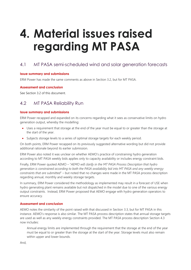## <span id="page-17-0"></span>**4. Material issues raised regarding MT PASA**

## <span id="page-17-1"></span>4.1 MT PASA semi-scheduled wind and solar generation forecasts

#### **Issue summary and submissions**

ERM Power has made the same comments as above in Section [3.2,](#page-12-0) but for MT PASA.

#### **Assessment and conclusion**

See Section [3.2](#page-12-0) of this document.

## <span id="page-17-2"></span>4.2 MT PASA Reliability Run

#### **Issue summary and submissions**

ERM Power recapped and expanded on its concerns regarding what it sees as conservative limits on hydro generation output, whereby the modelling:

- Uses a requirement that storage at the end of the year must be equal to or greater than the storage at the start of the year.
- Subjects storage levels to a series of optimal storage targets for each weekly period.

On both points, ERM Power recapped on its previously suggested alternative wording but did not provide additional rationale beyond its earlier submission.

ERM Power also noted it was unclear on whether AEMO's practice of constraining hydro generation according to MT PASA weekly bids applies only to capacity availability or includes energy constraint bids.

Finally, ERM Power quoted AEMO – "*AEMO will clarify in the MT PASA Process Description that hydro generation is constrained according to both the PASA availability bid into MT PASA and any weekly energy constraints that are submitted*" – but noted that no changes were made in the MT PASA process description regarding annual, monthly and weekly storage targets.

In summary, ERM Power considered the methodology as implemented may result in a forecast of USE when hydro generating plant remains available but not dispatched in the model due to one of the various energy output constraints. Instead, ERM Power proposed that AEMO engage with hydro generation operators to ensure accuracy.

#### **Assessment and conclusion**

AEMO notes the similarity of the point raised with that discussed in Section [3.3,](#page-12-1) but for MT PASA in this instance. AEMO's response is also similar. The MT PASA process description states that annual storage targets are used as well as any weekly energy constraints provided. The MT PASA process description Section 4.3 now includes:

Annual energy limits are implemented through the requirement that the storage at the end of the year must be equal to or greater than the storage at the start of the year. Storage levels must also remain within upper and lower bounds.

And,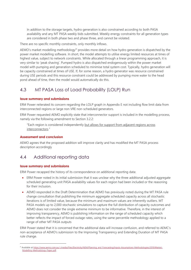In addition to the storage targets, hydro generation is also constrained according to both PASA availability and any MT PASA weekly bids submitted. Weekly energy constraints for all generation types are considered in both phase two and phase three, and cannot be violated.

There are no specific monthly constraints, only monthly inflows.

AEMO's market modelling methodology<sup>11</sup> provides more detail on how hydro generation is dispatched by the power market modelling software. In short, the model attempts to utilise energy limited resources at times of highest value, subject to network constraints. While allocated through a linear programming approach, it is very similar to 'peak shaving'. Pumped hydro is also dispatched endogenously within the power market model with pumping and generation scheduled to minimise total system cost. Typically, hydro generation will be capacity constrained at times of USE. If, for some reason, a hydro generator was resource constrained during USE periods and this resource constraint could be addressed by pumping more water to the head pond ahead of time, then the model would automatically do this.

## <span id="page-18-0"></span>4.3 MT PASA Loss of Load Probability (LOLP) Run

#### **Issue summary and submissions**

ERM Power reiterated its concern regarding the LOLP graph in Appendix E not including flow limit data from interconnected regions or large non VRE non-scheduled generators.

ERM Power requested AEMO explicitly state that interconnector support is included in the modelling process, namely via the following amendment to Section 3.2.2:

"Each region is considered independently but allows for support from adjacent regions across interconnectors."

#### **Assessment and conclusion**

AEMO agrees that the proposed addition will improve clarity and has modified the MT PASA process description accordingly

## <span id="page-18-1"></span>4.4 Additional reporting data

#### **Issue summary and submissions**

ERM Power recapped the history of its correspondence on additional reporting data:

- ERM Power noted in its initial submission that it was unclear why the three additional adjusted aggregate scheduled generating unit PASA availability values for each region had been included or the reasoning for their inclusion.
- AEMO responded in the Draft Determination that AEMO has previously noted during the MT PASA rule change consultation that publishing the minimum aggregate scheduled capacity across all stochastic iterations is of limited value, because the minimum and maximum values are inherently outliers. MT PASA models up to 2,000 stochastic simulations to capture the full distribution of capacity outcomes and AEMO does not consider the single extreme minimum to be informative. Therefore, in the interest of improving transparency, AEMO is publishing information on the range of scheduled capacity which better reflects the impact of forced outage rates, using the same percentile methodology applied to a range of other MT PASA outputs

ERM Power stated that it is concerned that the additional data will increase confusion, and referred to AEMC's non-acceptance of AEMO's submission to the Improving Transparency and Extending Duration of MT PASA rule change.

<sup>11</sup> Available a[t https://www.aemo.com.au/-/media/Files/Electricity/NEM/Planning\\_and\\_Forecasting/Inputs-Assumptions-Methodologies/2019/Market-](https://www.aemo.com.au/-/media/Files/Electricity/NEM/Planning_and_Forecasting/Inputs-Assumptions-Methodologies/2019/Market-Modelling-Methodology-Paper.pdf)[Modelling-Methodology-Paper.pdf.](https://www.aemo.com.au/-/media/Files/Electricity/NEM/Planning_and_Forecasting/Inputs-Assumptions-Methodologies/2019/Market-Modelling-Methodology-Paper.pdf)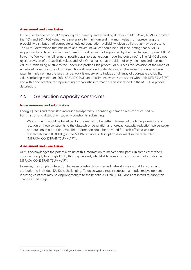#### **Assessment and conclusion**

In the rule change proposal "Improving transparency and extending duration of MT PASA", AEMO submitted that 10% and 90% POE values were preferable to minimum and maximum values for representing the probability distribution of aggregate scheduled generation availability, given outliers that may be present. The AEMC determined that minimum and maximum values should be published, noting that AEMO's suggestion to replace minimum and maximum values was not supported by the rule change proponent (ERM Power) to "deliver the full range of possible available generation modelling outcomes"<sup>12</sup>. The AEMC did not reject provision of probabilistic values and AEMO maintains that provision of only minimum and maximum values is misleading relative to the underlying probabilistic process. AEMO sees the provision of the range of scheduled capacity as useful to those who seek improved understanding of the impact of forced outage rates. In implementing the rule change, work is underway to include a full array of aggregate availability values including minimum, 90%, 50%, 10% POE, and maximum, which is consistent with both NER 3.7.2 f (5C) and with good practice for representing probabilistic information. This is included in the MT PASA process description.

## <span id="page-19-0"></span>4.5 Generation capacity constraints

#### **Issue summary and submissions**

Energy Queensland requested increased transparency regarding generation reductions caused by transmission and distribution capacity constraints, submitting:

We consider it would be beneficial for the market to be better informed of the timing, duration and location of these constraints to the dispatch of generation and forecast capacity reduction (percentage) or reduction in output (in MW). This information could be provided for each affected unit (or dispatchable unit ID (DUID)) in the MT PASA Process Description document in the table titled "MTPASA\_CONSTRAINTSUMMARY".

#### **Assessment and conclusion**

AEMO acknowledges the potential value of this information to market participants. In some cases where constraints apply to a single DUID, this may be easily identifiable from existing constraint information in MTPASA\_CONSTRAINTSUMMARY.

However, the complex interaction between constraints on meshed networks means that full constraint attribution to individual DUIDs is challenging. To do so would require substantial model redevelopment, incurring costs that may be disproportionate to the benefit. As such, AEMO does not intend to adopt this change at this stage.

<sup>12</sup> https://www.aemc.gov.au/rule-changes/improving-transparency-and-extending-duration-mt-pasa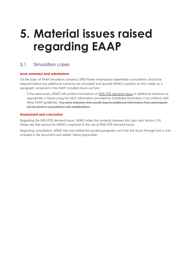## <span id="page-20-0"></span>**5. Material issues raised regarding EAAP**

## <span id="page-20-1"></span>5.1 Simulation cases

#### **Issue summary and submissions**

On the topic of EAAP simulation scenarios, ERM Power emphasised stakeholder consultation should be required before any additional scenarios are simulated and queried AEMO's position on this matter as a paragraph contained in the EAAP included struck-out text:

If the need arises, AEMO will conduct simulations of 90% POE demand traces or additional scenarios as appropriate in future using the GELF information provided by Scheduled Generators in accordance with these EAAP guidelines. Any extra scenarios that would require additional information from participants will be done in consultation with stakeholders.

#### **Assessment and conclusion**

Regarding the 90% POE demand traces, AEMO notes the similarity between this topic and Section 3.10. Please see that section for AEMO's response to the use of 90% POE demand traces.

Regarding consultation, AEMO has now edited the quoted paragraph such that the struck through text is now included in the document and added 'where practicable'.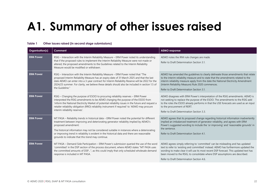# **A1. Summary of other issues raised**

<span id="page-21-1"></span><span id="page-21-0"></span>

| Organisation(s)  | Comment                                                                                                                                                                                                                                                                                                                                                                                                                                                            | <b>AEMO</b> response                                                                                                                                                                                                                                                                                                                                                                      |
|------------------|--------------------------------------------------------------------------------------------------------------------------------------------------------------------------------------------------------------------------------------------------------------------------------------------------------------------------------------------------------------------------------------------------------------------------------------------------------------------|-------------------------------------------------------------------------------------------------------------------------------------------------------------------------------------------------------------------------------------------------------------------------------------------------------------------------------------------------------------------------------------------|
| <b>ERM Power</b> | RSIG – Interaction with the Interim Reliability Measure – ERM Power noted its understanding<br>that if the proposed rules to implement the Interim Reliability Measure were not made or<br>altered, the proposed amendments to the Guidelines related to the Interim Reliability<br>Measure would be modified or withdrawn.                                                                                                                                        | AEMO notes the IRM rule changes are made.<br>Refer to Draft Determination Section 3.1.                                                                                                                                                                                                                                                                                                    |
| <b>ERM Power</b> | RSIG - Interaction with the Interim Reliability Measure - ERM Power noted that "The<br>proposed Interim Reliability Measure has an expiry date of 31 March 2025 and that the last<br>date AEMO can enter into a 3-year contract for Interim Reliability Reserve will be 2022 for the<br>2024/25 summer. For clarity, we believe these details should also be included in section 1.5 of<br>the Guideline."                                                         | AEMO has amended the quidelines to clearly delineate those amendments that relate<br>to the interim reliability measure and to state that the amendments related to the<br>interim reliability measure apply from the date the National Electricity Amendment<br>(Interim Reliability Measure) Rule 2020 commences.<br>Refer to Draft Determination Section 3.1.                          |
| <b>ERM Power</b> | RSIG - Changing the purpose of ESOO to procuring reliability reserves - ERM Power<br>interpreted the RSIG amendments to be AEMO changing the purpose of the ESOO from<br>'inform the National Electricity Market of potential reliability issues in the future and request a<br>retailer reliability obligation (RRO) reliability instrument if required' to 'AEMO may procure<br>interim reliability reserves'.                                                   | AEMO disagrees with ERM Power's interpretation of the RSIG amendments. AEMO is<br>not seeking to replace the purpose of the ESOO. The amendments to the RSIG add<br>to the roles the ESOO already performs in that the USE forecasts are used as an input<br>to the procurement of RERT.<br>Refer to Draft Determination Section 3.3.                                                     |
| <b>ERM Power</b> | MT PASA - Reliability trends in historical data - ERM Power noted the potential for different<br>treatment between improving and deteriorating generator reliability implied by AEMO's<br>proposed amendment:<br>The historical information may not be considered suitable in instances where a deteriorating<br>or improving trend in reliability is evident in the historical data and there are reasonable<br>grounds to indicate that this trend may continue. | AEMO agrees that its proposed change regarding historical information inadvertently<br>implied an imbalanced treatment of generator reliability, and agrees with ERM<br>Power's suggested wording to include the 'or improving' and 'reasonable grounds' in<br>the sentence.<br>Refer to Draft Determination Section 4.1.                                                                 |
| <b>ERM Power</b> | MT PASA – Demand Side Participation – ERM Power's submission queried the use of the word<br>'committed' in the DSP section of the process document, where AEMO states "MT PASA uses<br>the committed amounts of DSP", as this could imply that only scheduled wholesale demand<br>response is included in MT PASA.                                                                                                                                                 | AEMO agrees simply referring to 'committed' can be misleading and has updated<br>text to refer to 'existing and committed' instead. AEMO has furthermore updated the<br>wording to make clear it will use its most recent DSP forecast. This updated text has<br>been moved to the RSIG, to consolidate where DSP assumptions are described.<br>Refer to Draft Determination Section 4.6. |

#### **Table 1 Other issues raised (in second stage submissions)**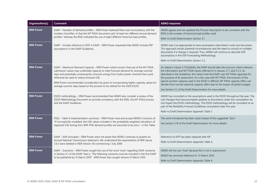| Organisation(s)  | <b>Comment</b>                                                                                                                                                                                                                                                                                                                                                                                                                                                                           | <b>AEMO</b> response                                                                                                                                                                                                                                                                                                                                                                                                                                                                                                                                                                           |
|------------------|------------------------------------------------------------------------------------------------------------------------------------------------------------------------------------------------------------------------------------------------------------------------------------------------------------------------------------------------------------------------------------------------------------------------------------------------------------------------------------------|------------------------------------------------------------------------------------------------------------------------------------------------------------------------------------------------------------------------------------------------------------------------------------------------------------------------------------------------------------------------------------------------------------------------------------------------------------------------------------------------------------------------------------------------------------------------------------------------|
| <b>ERM Power</b> | EAAP - Number of demand profiles - ERM Power believed there was inconsistency with the<br>number of profiles, in that the MT PASA document said "at least ten different annual demand<br>profiles" whereas the RSIG indicated the use of eight different historical load profiles.                                                                                                                                                                                                       | AEMO agrees and has updated the Process Description to be consistent with the<br>RSIG in the number of historical load profiles used.<br>Refer to Draft Determination Section 5.1.                                                                                                                                                                                                                                                                                                                                                                                                             |
| <b>ERM Power</b> | EAAP - Include reference to DSP in EAAP - ERM Power requested that AEMO include DSP<br>assumptions in the EAAP Guidelines.                                                                                                                                                                                                                                                                                                                                                               | AEMO sees it as appropriate to have assumptions described in only one document.<br>This approach avoids potential inconsistencies and the need to consult on multiple<br>documents if a change is required. Thus, AEMO will continue to describe DSP<br>assumptions in the DSP Forecasting Methodology.<br>Refer to Draft Determination Section 5.2.                                                                                                                                                                                                                                           |
| <b>ERM Power</b> | EAAP - Maximum Demand Capacity - ERM Power noted concern that use of the MT PASA<br>submission values may understate capacity to meet forecast demand for average summer<br>days and potentially unnecessarily consume energy from hydro power schemes that could<br>otherwise be used to reduce forecast USE.<br>ERM Power recommended consideration be given to incorporating higher capacity values for<br>average summer days based on the process to be utilised for the 2020 ESOO. | As stated in clause $3.7C(b)(6)(A)$ , the EAAP should take into account, where relevant,<br>the information and MT PASA inputs referred to in clauses 3.7.1 and 3.7.2. As<br>described in the Guidelines, this means that the EAAP uses MT PASA capacities for<br>the purpose of its assessment. As is the case with MT PASA, the inclusion of the<br>typical summer capacity used in the ESOO is difficult. MT PASA capacity offers can<br>deviate from normal seasonal capacity offers due to the impact of partial outages.<br>See Section 5.2 of the Draft Determination for more details. |
| <b>ERM Power</b> | ESOO methodology - ERM Power recommended that AEMO also consider a review of the<br>ESOO Methodology Document to provide consistency with the RSIG, the MT PASA process<br>and the EAAP Guidelines.                                                                                                                                                                                                                                                                                      | AEMO has consulted on the assumptions used in the ESOO throughout the year. The<br>rule changes that have prompted updates to documents under this consultation do<br>not impact the ESOO methodology. The ESOO methodology will be consulted on as<br>part of the Reliability Forecast Guidelines consultation later this year.<br>Refer to Draft Determination Appendix Table 5.                                                                                                                                                                                                             |
| <b>ERM Power</b> | RSIG - Table 4 implementation summary - ERM Power note and accept AEMO's inclusion of<br>"If not explicitly modelled, the USE values included in the probability weighted calculation of<br>expected USE arising from 90% POE demand profiles are assumed to be zero.", in this Table.                                                                                                                                                                                                   | The word immaterial has been used instead of the suggested "Zero"<br>See Section 3.10 of the Draft Determination for more details.                                                                                                                                                                                                                                                                                                                                                                                                                                                             |
| <b>ERM Power</b> | EAAP - AAP principles - ERM Power were not aware that AEMO continues to publish an<br>Annual National Transmission Statement. We understand the requirements of NER clause<br>5.6.5 were deleted in NER Version 30 commencing 1 July 2009.                                                                                                                                                                                                                                               | Reference to NTP has been replaced with ISP.<br>Refer to Draft Determination Appendix Table 4.                                                                                                                                                                                                                                                                                                                                                                                                                                                                                                 |
| <b>ERM Power</b> | EAAP - Scenarios - ERM Power sought the use of the word 'must' regarding EAAP scenarios<br>in Section 4.1 of the EAAP, that is, "The following scenarios must be included in the first EAAP<br>to be published by 31 March 2010". ERM Power also sought remove 31 March 2010.                                                                                                                                                                                                            | AEMO will not use 'must' because this is not a requirement.<br>AEMO has removed reference to '31 March 2010'.<br>Refer to Draft Determination Appendix Table 4.                                                                                                                                                                                                                                                                                                                                                                                                                                |